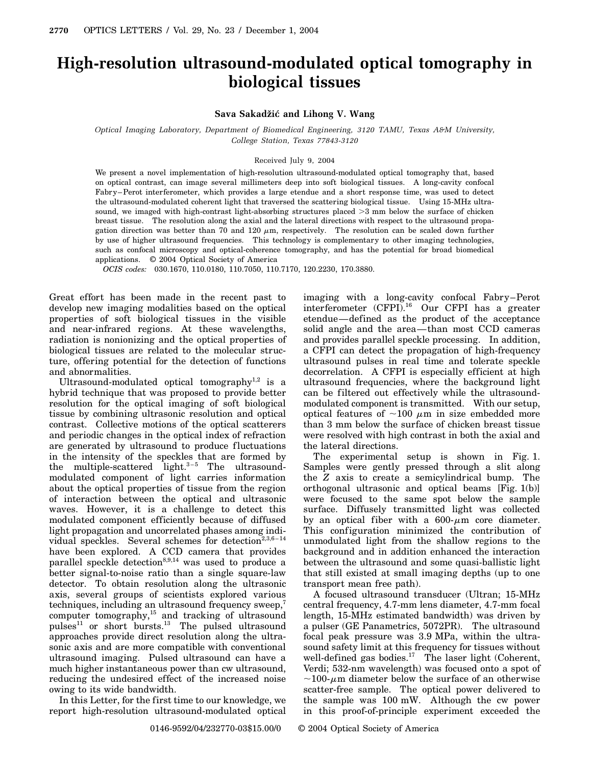## **High-resolution ultrasound-modulated optical tomography in biological tissues**

## **Sava Sakadžic´ and Lihong V. Wang**

*Optical Imaging Laboratory, Department of Biomedical Engineering, 3120 TAMU, Texas A&M University, College Station, Texas 77843-3120*

## Received July 9, 2004

We present a novel implementation of high-resolution ultrasound-modulated optical tomography that, based on optical contrast, can image several millimeters deep into soft biological tissues. A long-cavity confocal Fabry–Perot interferometer, which provides a large etendue and a short response time, was used to detect the ultrasound-modulated coherent light that traversed the scattering biological tissue. Using 15-MHz ultrasound, we imaged with high-contrast light-absorbing structures placed  $>3$  mm below the surface of chicken breast tissue. The resolution along the axial and the lateral directions with respect to the ultrasound propagation direction was better than 70 and 120  $\mu$ m, respectively. The resolution can be scaled down further by use of higher ultrasound frequencies. This technology is complementary to other imaging technologies, such as confocal microscopy and optical-coherence tomography, and has the potential for broad biomedical applications. © 2004 Optical Society of America

*OCIS codes:* 030.1670, 110.0180, 110.7050, 110.7170, 120.2230, 170.3880.

Great effort has been made in the recent past to develop new imaging modalities based on the optical properties of soft biological tissues in the visible and near-infrared regions. At these wavelengths, radiation is nonionizing and the optical properties of biological tissues are related to the molecular structure, offering potential for the detection of functions and abnormalities.

Ultrasound-modulated optical tomography<sup>1,2</sup> is a hybrid technique that was proposed to provide better resolution for the optical imaging of soft biological tissue by combining ultrasonic resolution and optical contrast. Collective motions of the optical scatterers and periodic changes in the optical index of refraction are generated by ultrasound to produce fluctuations in the intensity of the speckles that are formed by the multiple-scattered light.<sup>3-5</sup> The ultrasoundmodulated component of light carries information about the optical properties of tissue from the region of interaction between the optical and ultrasonic waves. However, it is a challenge to detect this modulated component efficiently because of diffused light propagation and uncorrelated phases among individual speckles. Several schemes for detection $^{2,3,6-14}$ have been explored. A CCD camera that provides parallel speckle detection<sup>8,9,14</sup> was used to produce a better signal-to-noise ratio than a single square-law detector. To obtain resolution along the ultrasonic axis, several groups of scientists explored various techniques, including an ultrasound frequency sweep,<sup>7</sup> computer tomography,<sup>15</sup> and tracking of ultrasound pulses<sup>11</sup> or short bursts.<sup>13</sup> The pulsed ultrasound approaches provide direct resolution along the ultrasonic axis and are more compatible with conventional ultrasound imaging. Pulsed ultrasound can have a much higher instantaneous power than cw ultrasound, reducing the undesired effect of the increased noise owing to its wide bandwidth.

In this Letter, for the first time to our knowledge, we report high-resolution ultrasound-modulated optical imaging with a long-cavity confocal Fabry–Perot interferometer (CFPI).<sup>16</sup> Our CFPI has a greater etendue—defined as the product of the acceptance solid angle and the area—than most CCD cameras and provides parallel speckle processing. In addition, a CFPI can detect the propagation of high-frequency ultrasound pulses in real time and tolerate speckle decorrelation. A CFPI is especially efficient at high ultrasound frequencies, where the background light can be filtered out effectively while the ultrasoundmodulated component is transmitted. With our setup, optical features of  $\sim$ 100  $\mu$ m in size embedded more than 3 mm below the surface of chicken breast tissue were resolved with high contrast in both the axial and the lateral directions.

The experimental setup is shown in Fig. 1. Samples were gently pressed through a slit along the *Z* axis to create a semicylindrical bump. The orthogonal ultrasonic and optical beams [Fig. 1(b)] were focused to the same spot below the sample surface. Diffusely transmitted light was collected by an optical fiber with a  $600-\mu m$  core diameter. This configuration minimized the contribution of unmodulated light from the shallow regions to the background and in addition enhanced the interaction between the ultrasound and some quasi-ballistic light that still existed at small imaging depths (up to one transport mean free path).

A focused ultrasound transducer (Ultran; 15-MHz central frequency, 4.7-mm lens diameter, 4.7-mm focal length, 15-MHz estimated bandwidth) was driven by a pulser (GE Panametrics, 5072PR). The ultrasound focal peak pressure was 3.9 MPa, within the ultrasound safety limit at this frequency for tissues without well-defined gas bodies.<sup>17</sup> The laser light (Coherent, Verdi; 532-nm wavelength) was focused onto a spot of  $\sim$ 100- $\mu$ m diameter below the surface of an otherwise scatter-free sample. The optical power delivered to the sample was 100 mW. Although the cw power in this proof-of-principle experiment exceeded the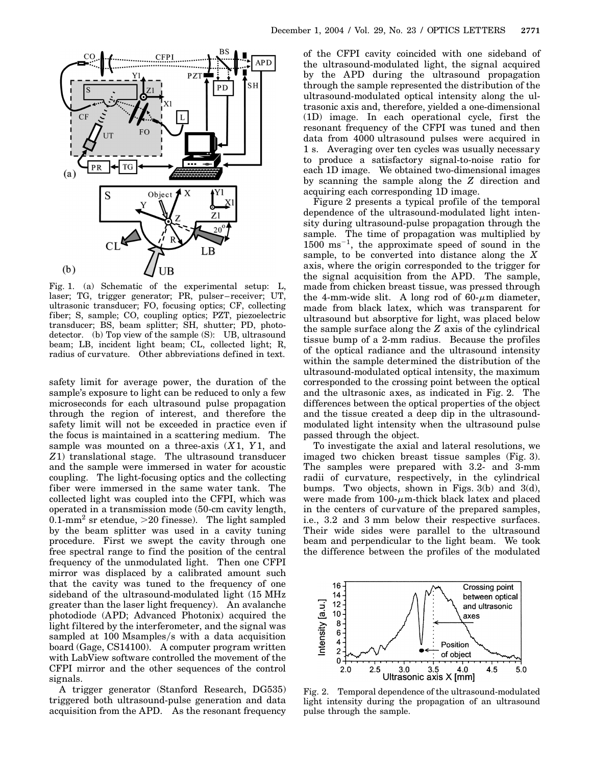

Fig. 1. (a) Schematic of the experimental setup: L, laser; TG, trigger generator; PR, pulser–receiver; UT, ultrasonic transducer; FO, focusing optics; CF, collecting fiber; S, sample; CO, coupling optics; PZT, piezoelectric transducer; BS, beam splitter; SH, shutter; PD, photodetector. (b) Top view of the sample (S): UB, ultrasound beam; LB, incident light beam; CL, collected light; R, radius of curvature. Other abbreviations defined in text.

safety limit for average power, the duration of the sample's exposure to light can be reduced to only a few microseconds for each ultrasound pulse propagation through the region of interest, and therefore the safety limit will not be exceeded in practice even if the focus is maintained in a scattering medium. The sample was mounted on a three-axis (*X*1, *Y*1, and *Z*1) translational stage. The ultrasound transducer and the sample were immersed in water for acoustic coupling. The light-focusing optics and the collecting fiber were immersed in the same water tank. The collected light was coupled into the CFPI, which was operated in a transmission mode (50-cm cavity length, 0.1-mm<sup>2</sup> sr etendue,  $>$ 20 finesse). The light sampled by the beam splitter was used in a cavity tuning procedure. First we swept the cavity through one free spectral range to find the position of the central frequency of the unmodulated light. Then one CFPI mirror was displaced by a calibrated amount such that the cavity was tuned to the frequency of one sideband of the ultrasound-modulated light (15 MHz greater than the laser light frequency). An avalanche photodiode (APD; Advanced Photonix) acquired the light filtered by the interferometer, and the signal was sampled at 100 Msamples/s with a data acquisition board (Gage, CS14100). A computer program written with LabView software controlled the movement of the CFPI mirror and the other sequences of the control signals.

A trigger generator (Stanford Research, DG535) triggered both ultrasound-pulse generation and data acquisition from the APD. As the resonant frequency of the CFPI cavity coincided with one sideband of the ultrasound-modulated light, the signal acquired by the APD during the ultrasound propagation through the sample represented the distribution of the ultrasound-modulated optical intensity along the ultrasonic axis and, therefore, yielded a one-dimensional (1D) image. In each operational cycle, first the resonant frequency of the CFPI was tuned and then data from 4000 ultrasound pulses were acquired in 1 s. Averaging over ten cycles was usually necessary to produce a satisfactory signal-to-noise ratio for each 1D image. We obtained two-dimensional images by scanning the sample along the *Z* direction and acquiring each corresponding 1D image.

Figure 2 presents a typical profile of the temporal dependence of the ultrasound-modulated light intensity during ultrasound-pulse propagation through the sample. The time of propagation was multiplied by  $1500 \text{ ms}^{-1}$ , the approximate speed of sound in the sample, to be converted into distance along the *X* axis, where the origin corresponded to the trigger for the signal acquisition from the APD. The sample, made from chicken breast tissue, was pressed through the 4-mm-wide slit. A long rod of  $60-\mu m$  diameter, made from black latex, which was transparent for ultrasound but absorptive for light, was placed below the sample surface along the *Z* axis of the cylindrical tissue bump of a 2-mm radius. Because the profiles of the optical radiance and the ultrasound intensity within the sample determined the distribution of the ultrasound-modulated optical intensity, the maximum corresponded to the crossing point between the optical and the ultrasonic axes, as indicated in Fig. 2. The differences between the optical properties of the object and the tissue created a deep dip in the ultrasoundmodulated light intensity when the ultrasound pulse passed through the object.

To investigate the axial and lateral resolutions, we imaged two chicken breast tissue samples (Fig. 3). The samples were prepared with 3.2- and 3-mm radii of curvature, respectively, in the cylindrical bumps. Two objects, shown in Figs.  $3(b)$  and  $3(d)$ , were made from  $100$ - $\mu$ m-thick black latex and placed in the centers of curvature of the prepared samples, i.e., 3.2 and 3 mm below their respective surfaces. Their wide sides were parallel to the ultrasound beam and perpendicular to the light beam. We took the difference between the profiles of the modulated



Fig. 2. Temporal dependence of the ultrasound-modulated light intensity during the propagation of an ultrasound pulse through the sample.